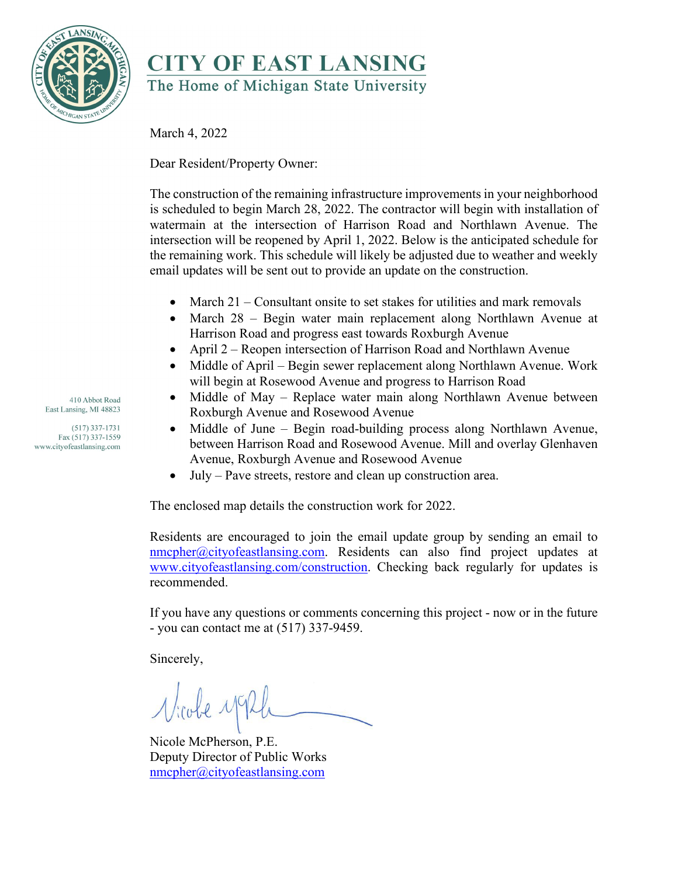

## **CITY OF EAST LANSING** The Home of Michigan State University

March 4, 2022

Dear Resident/Property Owner:

The construction of the remaining infrastructure improvements in your neighborhood is scheduled to begin March 28, 2022. The contractor will begin with installation of watermain at the intersection of Harrison Road and Northlawn Avenue. The intersection will be reopened by April 1, 2022. Below is the anticipated schedule for the remaining work. This schedule will likely be adjusted due to weather and weekly email updates will be sent out to provide an update on the construction.

- March 21 Consultant onsite to set stakes for utilities and mark removals
- March 28 Begin water main replacement along Northlawn Avenue at Harrison Road and progress east towards Roxburgh Avenue
- April 2 Reopen intersection of Harrison Road and Northlawn Avenue
- Middle of April Begin sewer replacement along Northlawn Avenue. Work will begin at Rosewood Avenue and progress to Harrison Road
- Middle of May Replace water main along Northlawn Avenue between Roxburgh Avenue and Rosewood Avenue
- Middle of June Begin road-building process along Northlawn Avenue, between Harrison Road and Rosewood Avenue. Mill and overlay Glenhaven Avenue, Roxburgh Avenue and Rosewood Avenue
- July Pave streets, restore and clean up construction area.

The enclosed map details the construction work for 2022.

Residents are encouraged to join the email update group by sending an email to [nmcpher@cityofeastlansing.com.](mailto:nmcpher@cityofeastlansing.com) Residents can also find project updates at [www.cityofeastlansing.com/construction.](http://www.cityofeastlansing.com/construction) Checking back regularly for updates is recommended.

If you have any questions or comments concerning this project - now or in the future - you can contact me at (517) 337-9459.

Sincerely,

Nicobe y

Nicole McPherson, P.E. Deputy Director of Public Works [nmcpher@cityofeastlansing.com](mailto:nmcpher@cityofeastlansing.com)

410 Abbot Road East Lansing, MI 48823

 $(517)$  337-1731 Fax (517) 337-1559 www.cityofeastlansing.com